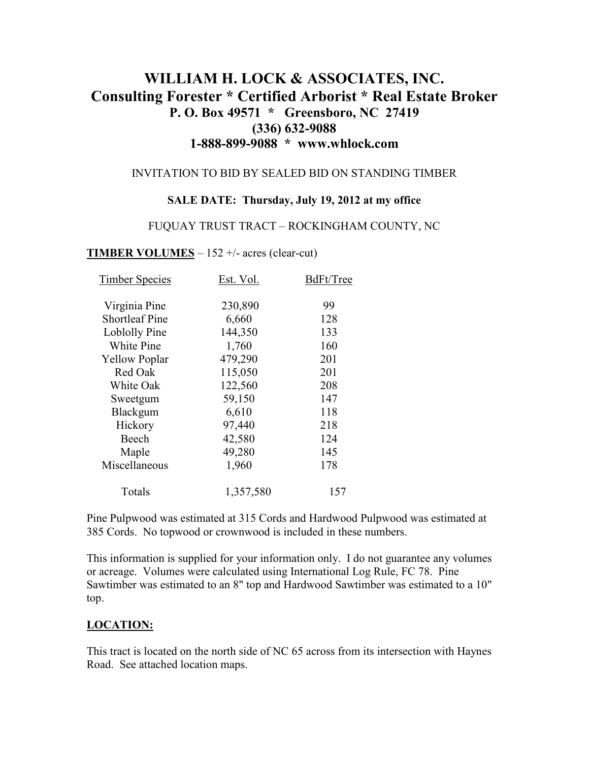# **WILLIAM H. LOCK & ASSOCIATES, INC. Consulting Forester \* Certified Arborist \* Real Estate Broker P. O. Box 49571 \* Greensboro, NC 27419 (336) 632-9088 1-888-899-9088 \* www.whlock.com**

#### INVITATION TO BID BY SEALED BID ON STANDING TIMBER

#### **SALE DATE: Thursday, July 19, 2012 at my office**

#### FUQUAY TRUST TRACT – ROCKINGHAM COUNTY, NC

#### **TIMBER VOLUMES** – 152 +/- acres (clear-cut)

| <b>Timber Species</b> | Est. Vol. | BdFt/Tree |
|-----------------------|-----------|-----------|
| Virginia Pine         | 230,890   | 99        |
| <b>Shortleaf Pine</b> | 6,660     | 128       |
| Loblolly Pine         | 144,350   | 133       |
| White Pine            | 1,760     | 160       |
| <b>Yellow Poplar</b>  | 479,290   | 201       |
| Red Oak               | 115,050   | 201       |
| White Oak             | 122,560   | 208       |
| Sweetgum              | 59,150    | 147       |
| Blackgum              | 6,610     | 118       |
| Hickory               | 97,440    | 218       |
| Beech                 | 42,580    | 124       |
| Maple                 | 49,280    | 145       |
| Miscellaneous         | 1,960     | 178       |
| Totals                | 1,357,580 | 157       |

Pine Pulpwood was estimated at 315 Cords and Hardwood Pulpwood was estimated at 385 Cords. No topwood or crownwood is included in these numbers.

This information is supplied for your information only. I do not guarantee any volumes or acreage. Volumes were calculated using International Log Rule, FC 78. Pine Sawtimber was estimated to an 8" top and Hardwood Sawtimber was estimated to a 10" top.

#### **LOCATION:**

This tract is located on the north side of NC 65 across from its intersection with Haynes Road. See attached location maps.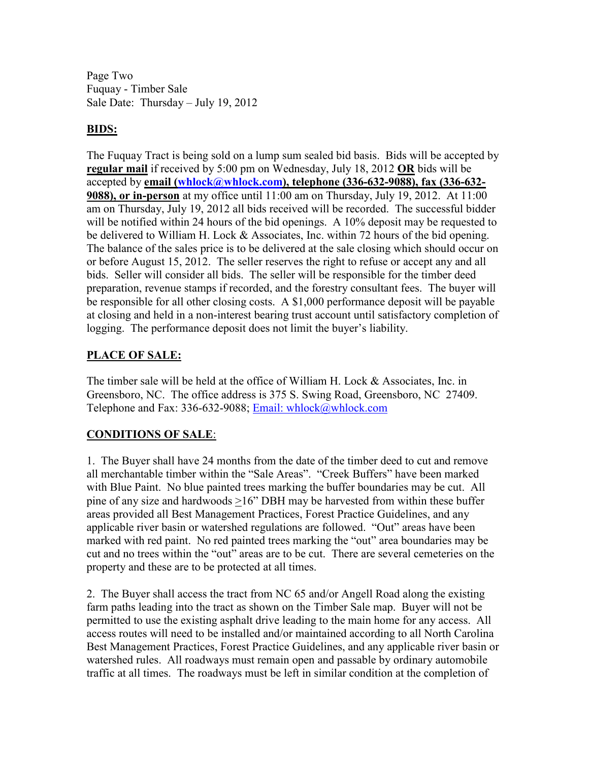Page Two Fuquay - Timber Sale Sale Date: Thursday – July 19, 2012

### **BIDS:**

The Fuquay Tract is being sold on a lump sum sealed bid basis. Bids will be accepted by **regular mail** if received by 5:00 pm on Wednesday, July 18, 2012 **OR** bids will be accepted by **email (whlock@whlock.com), telephone (336-632-9088), fax (336-632- 9088), or in-person** at my office until 11:00 am on Thursday, July 19, 2012. At 11:00 am on Thursday, July 19, 2012 all bids received will be recorded. The successful bidder will be notified within 24 hours of the bid openings. A 10% deposit may be requested to be delivered to William H. Lock & Associates, Inc. within 72 hours of the bid opening. The balance of the sales price is to be delivered at the sale closing which should occur on or before August 15, 2012. The seller reserves the right to refuse or accept any and all bids. Seller will consider all bids. The seller will be responsible for the timber deed preparation, revenue stamps if recorded, and the forestry consultant fees. The buyer will be responsible for all other closing costs. A \$1,000 performance deposit will be payable at closing and held in a non-interest bearing trust account until satisfactory completion of logging. The performance deposit does not limit the buyer's liability.

### **PLACE OF SALE:**

The timber sale will be held at the office of William H. Lock & Associates, Inc. in Greensboro, NC. The office address is 375 S. Swing Road, Greensboro, NC 27409. Telephone and Fax: 336-632-9088; Email: whlock@whlock.com

## **CONDITIONS OF SALE**:

1. The Buyer shall have 24 months from the date of the timber deed to cut and remove all merchantable timber within the "Sale Areas". "Creek Buffers" have been marked with Blue Paint. No blue painted trees marking the buffer boundaries may be cut. All pine of any size and hardwoods >16" DBH may be harvested from within these buffer areas provided all Best Management Practices, Forest Practice Guidelines, and any applicable river basin or watershed regulations are followed. "Out" areas have been marked with red paint. No red painted trees marking the "out" area boundaries may be cut and no trees within the "out" areas are to be cut. There are several cemeteries on the property and these are to be protected at all times.

2. The Buyer shall access the tract from NC 65 and/or Angell Road along the existing farm paths leading into the tract as shown on the Timber Sale map. Buyer will not be permitted to use the existing asphalt drive leading to the main home for any access. All access routes will need to be installed and/or maintained according to all North Carolina Best Management Practices, Forest Practice Guidelines, and any applicable river basin or watershed rules. All roadways must remain open and passable by ordinary automobile traffic at all times. The roadways must be left in similar condition at the completion of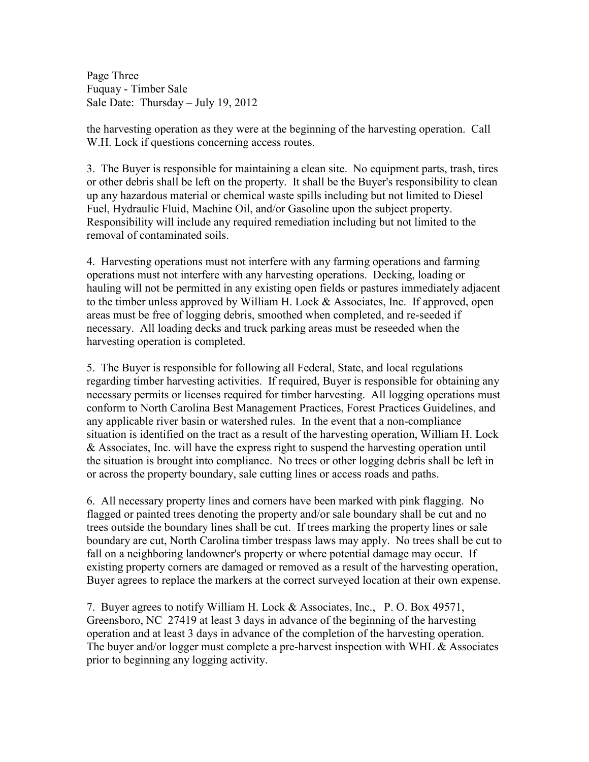Page Three Fuquay - Timber Sale Sale Date: Thursday – July 19, 2012

the harvesting operation as they were at the beginning of the harvesting operation. Call W.H. Lock if questions concerning access routes.

3. The Buyer is responsible for maintaining a clean site. No equipment parts, trash, tires or other debris shall be left on the property. It shall be the Buyer's responsibility to clean up any hazardous material or chemical waste spills including but not limited to Diesel Fuel, Hydraulic Fluid, Machine Oil, and/or Gasoline upon the subject property. Responsibility will include any required remediation including but not limited to the removal of contaminated soils.

4. Harvesting operations must not interfere with any farming operations and farming operations must not interfere with any harvesting operations. Decking, loading or hauling will not be permitted in any existing open fields or pastures immediately adjacent to the timber unless approved by William H. Lock & Associates, Inc. If approved, open areas must be free of logging debris, smoothed when completed, and re-seeded if necessary. All loading decks and truck parking areas must be reseeded when the harvesting operation is completed.

5. The Buyer is responsible for following all Federal, State, and local regulations regarding timber harvesting activities. If required, Buyer is responsible for obtaining any necessary permits or licenses required for timber harvesting. All logging operations must conform to North Carolina Best Management Practices, Forest Practices Guidelines, and any applicable river basin or watershed rules. In the event that a non-compliance situation is identified on the tract as a result of the harvesting operation, William H. Lock & Associates, Inc. will have the express right to suspend the harvesting operation until the situation is brought into compliance. No trees or other logging debris shall be left in or across the property boundary, sale cutting lines or access roads and paths.

6. All necessary property lines and corners have been marked with pink flagging. No flagged or painted trees denoting the property and/or sale boundary shall be cut and no trees outside the boundary lines shall be cut. If trees marking the property lines or sale boundary are cut, North Carolina timber trespass laws may apply. No trees shall be cut to fall on a neighboring landowner's property or where potential damage may occur. If existing property corners are damaged or removed as a result of the harvesting operation, Buyer agrees to replace the markers at the correct surveyed location at their own expense.

7. Buyer agrees to notify William H. Lock & Associates, Inc., P. O. Box 49571, Greensboro, NC 27419 at least 3 days in advance of the beginning of the harvesting operation and at least 3 days in advance of the completion of the harvesting operation. The buyer and/or logger must complete a pre-harvest inspection with WHL & Associates prior to beginning any logging activity.